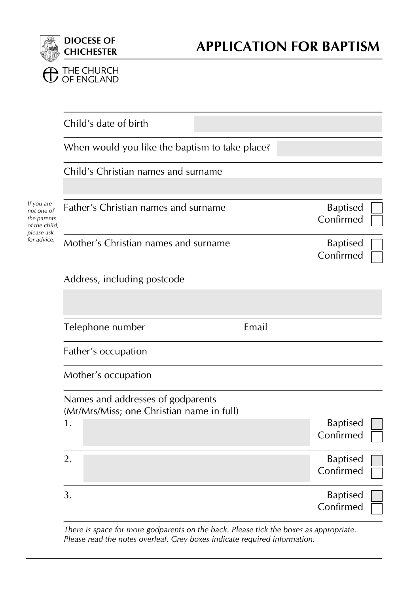

|                                                                                       | Child's date of birth                                                          |       |                              |  |
|---------------------------------------------------------------------------------------|--------------------------------------------------------------------------------|-------|------------------------------|--|
|                                                                                       | When would you like the baptism to take place?                                 |       |                              |  |
|                                                                                       | Child's Christian names and surname                                            |       |                              |  |
| If you are<br>not one of<br>the parents<br>of the child,<br>please ask<br>for advice. | Father's Christian names and surname                                           |       | <b>Baptised</b><br>Confirmed |  |
|                                                                                       | Mother's Christian names and surname                                           |       | <b>Baptised</b><br>Confirmed |  |
|                                                                                       | Address, including postcode                                                    |       |                              |  |
|                                                                                       |                                                                                |       |                              |  |
|                                                                                       | Telephone number                                                               | Email |                              |  |
|                                                                                       | Father's occupation                                                            |       |                              |  |
|                                                                                       | Mother's occupation                                                            |       |                              |  |
|                                                                                       | Names and addresses of godparents<br>(Mr/Mrs/Miss; one Christian name in full) |       |                              |  |
|                                                                                       | 1.                                                                             |       | <b>Baptised</b><br>Confirmed |  |
|                                                                                       | 2.                                                                             |       | <b>Baptised</b><br>Confirmed |  |
|                                                                                       | 3.                                                                             |       | <b>Baptised</b><br>Confirmed |  |

*There is space for more godparents on the back. Please tick the boxes as appropriate. Please read the notes overleaf. Grey boxes indicate required information.*